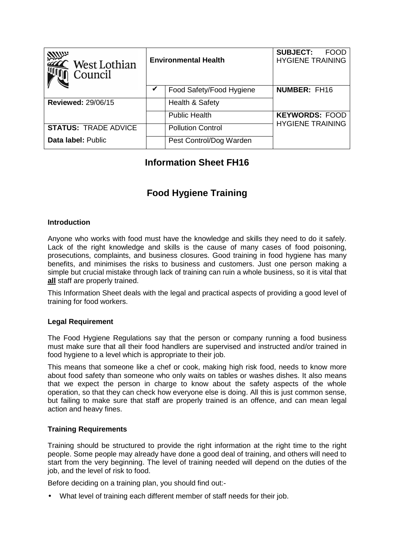| <b>ANUX</b><br>West Lothian<br>Council | <b>Environmental Health</b> |                          | <b>SUBJECT:</b><br><b>FOOD</b><br><b>HYGIENE TRAINING</b> |
|----------------------------------------|-----------------------------|--------------------------|-----------------------------------------------------------|
|                                        |                             | Food Safety/Food Hygiene | <b>NUMBER: FH16</b>                                       |
| <b>Reviewed: 29/06/15</b>              |                             | Health & Safety          |                                                           |
|                                        |                             | <b>Public Health</b>     | <b>KEYWORDS: FOOD</b>                                     |
| <b>STATUS: TRADE ADVICE</b>            |                             | <b>Pollution Control</b> | <b>HYGIENE TRAINING</b>                                   |
| Data label: Public                     |                             | Pest Control/Dog Warden  |                                                           |

## **Information Sheet FH16**

# **Food Hygiene Training**

#### **Introduction**

Anyone who works with food must have the knowledge and skills they need to do it safely. Lack of the right knowledge and skills is the cause of many cases of food poisoning, prosecutions, complaints, and business closures. Good training in food hygiene has many benefits, and minimises the risks to business and customers. Just one person making a simple but crucial mistake through lack of training can ruin a whole business, so it is vital that **all** staff are properly trained.

This Information Sheet deals with the legal and practical aspects of providing a good level of training for food workers.

#### **Legal Requirement**

The Food Hygiene Regulations say that the person or company running a food business must make sure that all their food handlers are supervised and instructed and/or trained in food hygiene to a level which is appropriate to their job.

This means that someone like a chef or cook, making high risk food, needs to know more about food safety than someone who only waits on tables or washes dishes. It also means that we expect the person in charge to know about the safety aspects of the whole operation, so that they can check how everyone else is doing. All this is just common sense, but failing to make sure that staff are properly trained is an offence, and can mean legal action and heavy fines.

#### **Training Requirements**

Training should be structured to provide the right information at the right time to the right people. Some people may already have done a good deal of training, and others will need to start from the very beginning. The level of training needed will depend on the duties of the job, and the level of risk to food.

Before deciding on a training plan, you should find out:-

• What level of training each different member of staff needs for their job.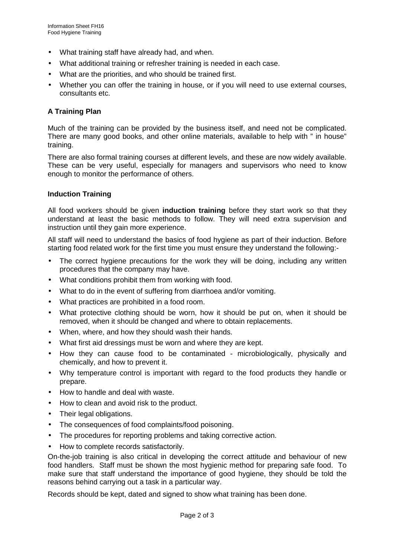- What training staff have already had, and when.
- What additional training or refresher training is needed in each case.
- What are the priorities, and who should be trained first.
- Whether you can offer the training in house, or if you will need to use external courses, consultants etc.

## **A Training Plan**

Much of the training can be provided by the business itself, and need not be complicated. There are many good books, and other online materials, available to help with " in house" training.

There are also formal training courses at different levels, and these are now widely available. These can be very useful, especially for managers and supervisors who need to know enough to monitor the performance of others.

## **Induction Training**

All food workers should be given **induction training** before they start work so that they understand at least the basic methods to follow. They will need extra supervision and instruction until they gain more experience.

All staff will need to understand the basics of food hygiene as part of their induction. Before starting food related work for the first time you must ensure they understand the following:-

- The correct hygiene precautions for the work they will be doing, including any written procedures that the company may have.
- What conditions prohibit them from working with food.
- What to do in the event of suffering from diarrhoea and/or vomiting.
- What practices are prohibited in a food room.
- What protective clothing should be worn, how it should be put on, when it should be removed, when it should be changed and where to obtain replacements.
- When, where, and how they should wash their hands.
- What first aid dressings must be worn and where they are kept.
- How they can cause food to be contaminated microbiologically, physically and chemically, and how to prevent it.
- Why temperature control is important with regard to the food products they handle or prepare.
- How to handle and deal with waste.
- How to clean and avoid risk to the product.
- Their legal obligations.
- The consequences of food complaints/food poisoning.
- The procedures for reporting problems and taking corrective action.
- How to complete records satisfactorily.

On-the-job training is also critical in developing the correct attitude and behaviour of new food handlers. Staff must be shown the most hygienic method for preparing safe food. To make sure that staff understand the importance of good hygiene, they should be told the reasons behind carrying out a task in a particular way.

Records should be kept, dated and signed to show what training has been done.